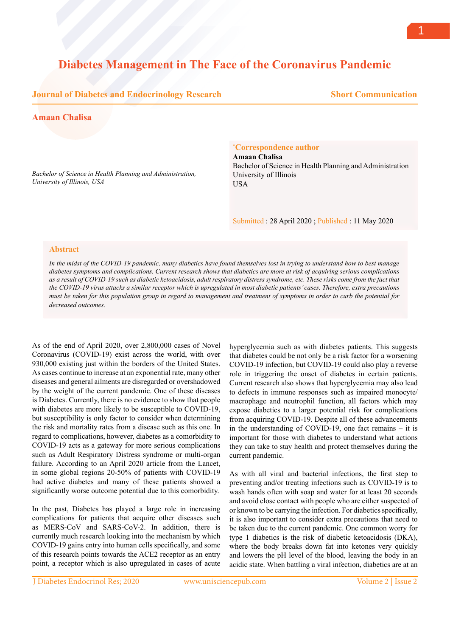# **Diabetes Management in The Face of the Coronavirus Pandemic**

## **Journal of Diabetes and Endocrinology Research**

## **Short Communication**

### **Amaan Chalisa**

*Bachelor of Science in Health Planning and Administration, University of Illinois, USA*

#### **\* Correspondence author**

**Amaan Chalisa** Bachelor of Science in Health Planning and Administration University of Illinois USA

Submitted : 28 April 2020 ; Published : 11 May 2020

#### **Abstract**

*In the midst of the COVID-19 pandemic, many diabetics have found themselves lost in trying to understand how to best manage diabetes symptoms and complications. Current research shows that diabetics are more at risk of acquiring serious complications as a result of COVID-19 such as diabetic ketoacidosis, adult respiratory distress syndrome, etc. These risks come from the fact that the COVID-19 virus attacks a similar receptor which is upregulated in most diabetic patients' cases. Therefore, extra precautions must be taken for this population group in regard to management and treatment of symptoms in order to curb the potential for decreased outcomes.*

As of the end of April 2020, over 2,800,000 cases of Novel Coronavirus (COVID-19) exist across the world, with over 930,000 existing just within the borders of the United States. As cases continue to increase at an exponential rate, many other diseases and general ailments are disregarded or overshadowed by the weight of the current pandemic. One of these diseases is Diabetes. Currently, there is no evidence to show that people with diabetes are more likely to be susceptible to COVID-19, but susceptibility is only factor to consider when determining the risk and mortality rates from a disease such as this one. In regard to complications, however, diabetes as a comorbidity to COVID-19 acts as a gateway for more serious complications such as Adult Respiratory Distress syndrome or multi-organ failure. According to an April 2020 article from the Lancet, in some global regions 20-50% of patients with COVID-19 had active diabetes and many of these patients showed a significantly worse outcome potential due to this comorbidity.

In the past, Diabetes has played a large role in increasing complications for patients that acquire other diseases such as MERS-CoV and SARS-CoV-2. In addition, there is currently much research looking into the mechanism by which COVID-19 gains entry into human cells specifically, and some of this research points towards the ACE2 receptor as an entry point, a receptor which is also upregulated in cases of acute hyperglycemia such as with diabetes patients. This suggests that diabetes could be not only be a risk factor for a worsening COVID-19 infection, but COVID-19 could also play a reverse role in triggering the onset of diabetes in certain patients. Current research also shows that hyperglycemia may also lead to defects in immune responses such as impaired monocyte/ macrophage and neutrophil function, all factors which may expose diabetics to a larger potential risk for complications from acquiring COVID-19. Despite all of these advancements in the understanding of COVID-19, one fact remains – it is important for those with diabetes to understand what actions they can take to stay health and protect themselves during the current pandemic.

As with all viral and bacterial infections, the first step to preventing and/or treating infections such as COVID-19 is to wash hands often with soap and water for at least 20 seconds and avoid close contact with people who are either suspected of or known to be carrying the infection. For diabetics specifically, it is also important to consider extra precautions that need to be taken due to the current pandemic. One common worry for type 1 diabetics is the risk of diabetic ketoacidosis (DKA), where the body breaks down fat into ketones very quickly and lowers the pH level of the blood, leaving the body in an acidic state. When battling a viral infection, diabetics are at an